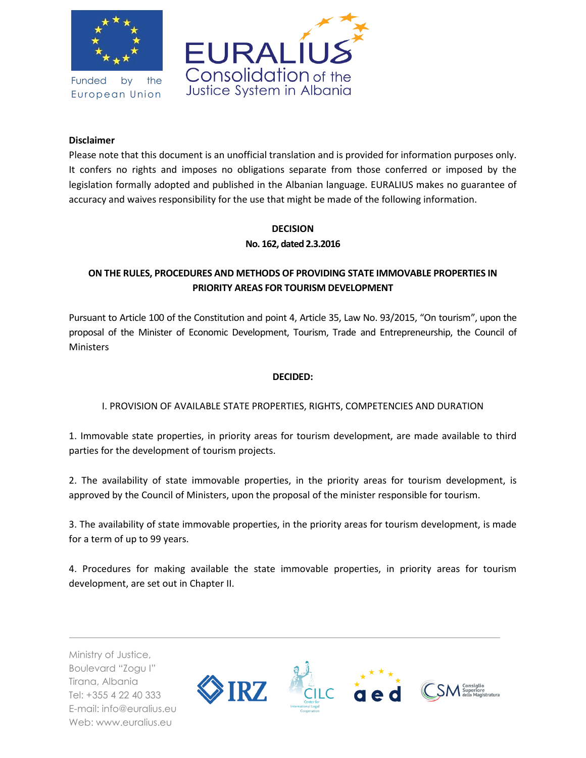

Funded by the European Union



### **Disclaimer**

Please note that this document is an unofficial translation and is provided for information purposes only. It confers no rights and imposes no obligations separate from those conferred or imposed by the legislation formally adopted and published in the Albanian language. EURALIUS makes no guarantee of accuracy and waives responsibility for the use that might be made of the following information.

## **DECISION No. 162, dated 2.3.2016**

# **ON THE RULES, PROCEDURES AND METHODS OF PROVIDING STATE IMMOVABLE PROPERTIES IN PRIORITY AREAS FOR TOURISM DEVELOPMENT**

Pursuant to Article 100 of the Constitution and point 4, Article 35, Law No. 93/2015, "On tourism", upon the proposal of the Minister of Economic Development, Tourism, Trade and Entrepreneurship, the Council of **Ministers** 

### **DECIDED:**

## I. PROVISION OF AVAILABLE STATE PROPERTIES, RIGHTS, COMPETENCIES AND DURATION

1. Immovable state properties, in priority areas for tourism development, are made available to third parties for the development of tourism projects.

2. The availability of state immovable properties, in the priority areas for tourism development, is approved by the Council of Ministers, upon the proposal of the minister responsible for tourism.

3. The availability of state immovable properties, in the priority areas for tourism development, is made for a term of up to 99 years.

4. Procedures for making available the state immovable properties, in priority areas for tourism development, are set out in Chapter II.

Ministry of Justice, Boulevard "Zogu I" Tirana, Albania Tel: +355 4 22 40 333 E-mail: info@euralius.eu Web: www.euralius.eu

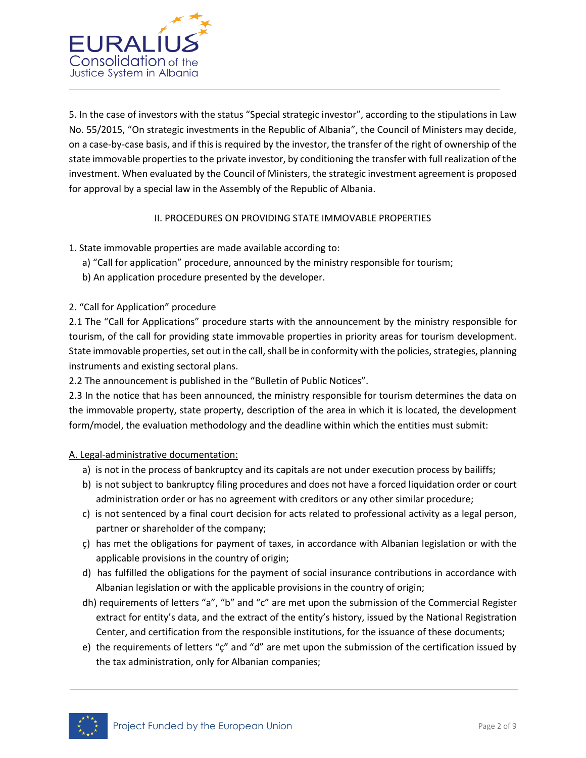

5. In the case of investors with the status "Special strategic investor", according to the stipulations in Law No. 55/2015, "On strategic investments in the Republic of Albania", the Council of Ministers may decide, on a case-by-case basis, and if this is required by the investor, the transfer of the right of ownership of the state immovable properties to the private investor, by conditioning the transfer with full realization of the investment. When evaluated by the Council of Ministers, the strategic investment agreement is proposed for approval by a special law in the Assembly of the Republic of Albania.

## II. PROCEDURES ON PROVIDING STATE IMMOVABLE PROPERTIES

- 1. State immovable properties are made available according to:
	- a) "Call for application" procedure, announced by the ministry responsible for tourism;
	- b) An application procedure presented by the developer.
- 2. "Call for Application" procedure

2.1 The "Call for Applications" procedure starts with the announcement by the ministry responsible for tourism, of the call for providing state immovable properties in priority areas for tourism development. State immovable properties, set out in the call, shall be in conformity with the policies, strategies, planning instruments and existing sectoral plans.

2.2 The announcement is published in the "Bulletin of Public Notices".

2.3 In the notice that has been announced, the ministry responsible for tourism determines the data on the immovable property, state property, description of the area in which it is located, the development form/model, the evaluation methodology and the deadline within which the entities must submit:

### A. Legal-administrative documentation:

- a) is not in the process of bankruptcy and its capitals are not under execution process by bailiffs;
- b) is not subject to bankruptcy filing procedures and does not have a forced liquidation order or court administration order or has no agreement with creditors or any other similar procedure;
- c) is not sentenced by a final court decision for acts related to professional activity as a legal person, partner or shareholder of the company;
- ç) has met the obligations for payment of taxes, in accordance with Albanian legislation or with the applicable provisions in the country of origin;
- d) has fulfilled the obligations for the payment of social insurance contributions in accordance with Albanian legislation or with the applicable provisions in the country of origin;
- dh) requirements of letters "a", "b" and "c" are met upon the submission of the Commercial Register extract for entity's data, and the extract of the entity's history, issued by the National Registration Center, and certification from the responsible institutions, for the issuance of these documents;
- e) the requirements of letters "ç" and "d" are met upon the submission of the certification issued by the tax administration, only for Albanian companies;

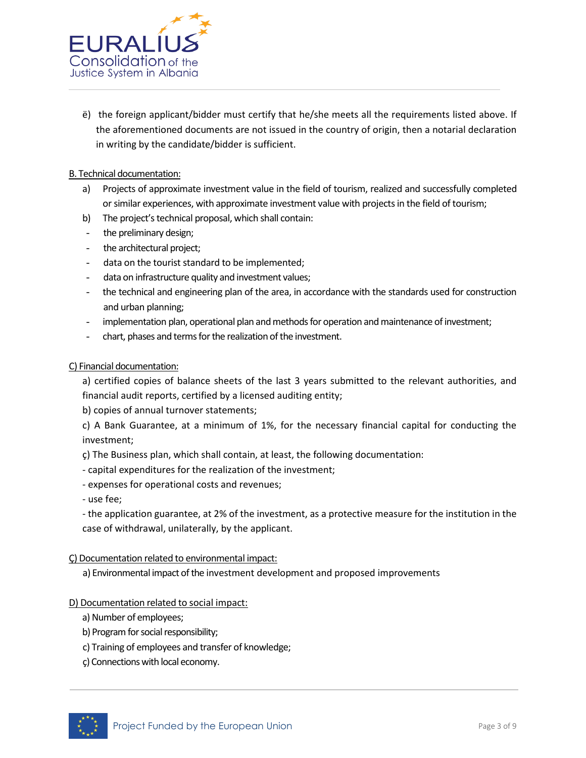

ë) the foreign applicant/bidder must certify that he/she meets all the requirements listed above. If the aforementioned documents are not issued in the country of origin, then a notarial declaration in writing by the candidate/bidder is sufficient.

### B. Technical documentation:

- a) Projects of approximate investment value in the field of tourism, realized and successfully completed or similar experiences, with approximate investment value with projects in the field of tourism;
- b) The project's technical proposal, which shall contain:
- the preliminary design;
- the architectural project;
- data on the tourist standard to be implemented;
- data on infrastructure quality and investment values;
- the technical and engineering plan of the area, in accordance with the standards used for construction and urban planning;
- implementation plan, operational plan and methods for operation and maintenance of investment;
- chart, phases and terms for the realization of the investment.

#### C) Financial documentation:

a) certified copies of balance sheets of the last 3 years submitted to the relevant authorities, and financial audit reports, certified by a licensed auditing entity;

b) copies of annual turnover statements;

c) A Bank Guarantee, at a minimum of 1%, for the necessary financial capital for conducting the investment;

ç) The Business plan, which shall contain, at least, the following documentation:

- capital expenditures for the realization of the investment;
- expenses for operational costs and revenues;
- use fee;

- the application guarantee, at 2% of the investment, as a protective measure for the institution in the case of withdrawal, unilaterally, by the applicant.

#### Ç) Documentation related to environmental impact:

a) Environmental impact of the investment development and proposed improvements

#### D) Documentation related to social impact:

- a) Number of employees;
- b) Program for social responsibility;
- c) Training of employees and transfer of knowledge;
- ç) Connections with local economy.

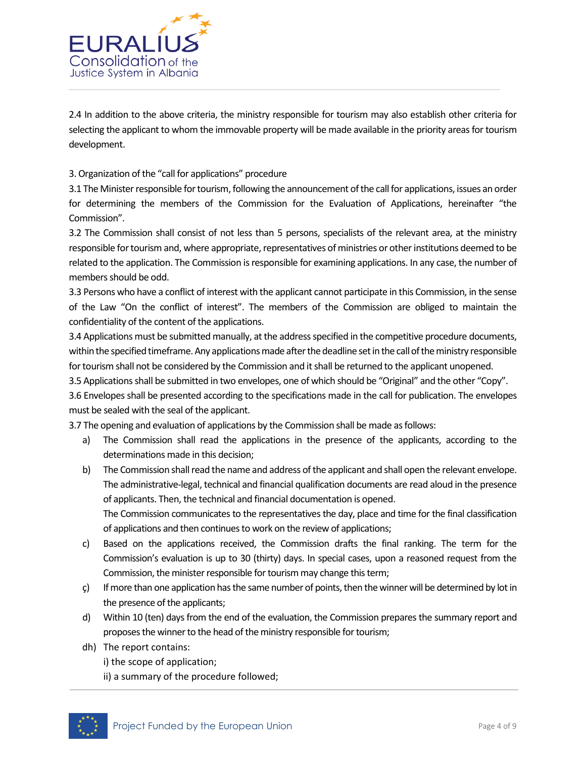

2.4 In addition to the above criteria, the ministry responsible for tourism may also establish other criteria for selecting the applicant to whom the immovable property will be made available in the priority areas for tourism development.

### 3. Organization of the "call for applications" procedure

3.1 The Minister responsible for tourism, following the announcement of the call for applications, issues an order for determining the members of the Commission for the Evaluation of Applications, hereinafter "the Commission".

3.2 The Commission shall consist of not less than 5 persons, specialists of the relevant area, at the ministry responsible for tourism and, where appropriate, representatives of ministries or other institutions deemed to be related to the application. The Commission is responsible for examining applications. In any case, the number of members should be odd.

3.3 Persons who have a conflict of interest with the applicant cannot participate in this Commission, in the sense of the Law "On the conflict of interest". The members of the Commission are obliged to maintain the confidentiality of the content of the applications.

3.4 Applications must be submitted manually, at the address specified in the competitive procedure documents, within the specified timeframe. Any applications made after the deadline set in the call of the ministry responsible for tourism shall not be considered by the Commission and it shall be returned to the applicant unopened.

3.5 Applications shall be submitted in two envelopes, one of which should be "Original" and the other "Copy".

3.6 Envelopes shall be presented according to the specifications made in the call for publication. The envelopes must be sealed with the seal of the applicant.

3.7 The opening and evaluation of applications by the Commission shall be made as follows:

- a) The Commission shall read the applications in the presence of the applicants, according to the determinations made in this decision;
- b) The Commission shall read the name and address of the applicant and shall open the relevant envelope. The administrative-legal, technical and financial qualification documents are read aloud in the presence of applicants. Then, the technical and financial documentation is opened.

The Commission communicates to the representatives the day, place and time for the final classification of applications and then continues to work on the review of applications;

- c) Based on the applications received, the Commission drafts the final ranking. The term for the Commission's evaluation is up to 30 (thirty) days. In special cases, upon a reasoned request from the Commission, the minister responsible for tourism may change this term;
- $\varsigma$ ) If more than one application has the same number of points, then the winner will be determined by lot in the presence of the applicants;
- d) Within 10 (ten) days from the end of the evaluation, the Commission prepares the summary report and proposes the winner to the head of the ministry responsible for tourism;
- dh) The report contains:
	- i) the scope of application;
	- ii) a summary of the procedure followed;

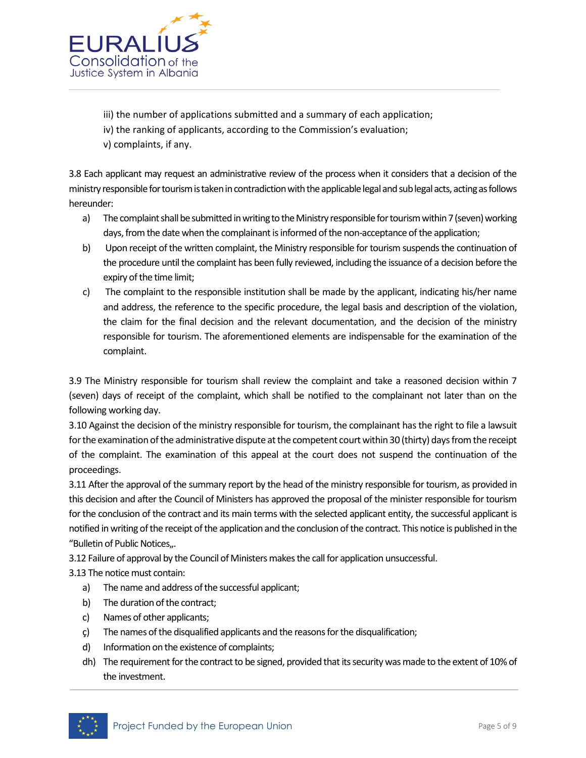

iii) the number of applications submitted and a summary of each application; iv) the ranking of applicants, according to the Commission's evaluation; v) complaints, if any.

3.8 Each applicant may request an administrative review of the process when it considers that a decision of the ministry responsible for tourism is taken in contradiction with the applicable legal and sub legal acts, acting as follows hereunder:

- a) The complaint shall be submitted in writing to the Ministry responsible for tourism within 7 (seven) working days, from the date when the complainant is informed of the non-acceptance of the application;
- b) Upon receipt of the written complaint, the Ministry responsible for tourism suspends the continuation of the procedure until the complaint has been fully reviewed, including the issuance of a decision before the expiry of the time limit;
- c) The complaint to the responsible institution shall be made by the applicant, indicating his/her name and address, the reference to the specific procedure, the legal basis and description of the violation, the claim for the final decision and the relevant documentation, and the decision of the ministry responsible for tourism. The aforementioned elements are indispensable for the examination of the complaint.

3.9 The Ministry responsible for tourism shall review the complaint and take a reasoned decision within 7 (seven) days of receipt of the complaint, which shall be notified to the complainant not later than on the following working day.

3.10 Against the decision of the ministry responsible for tourism, the complainant has the right to file a lawsuit for the examination of the administrative dispute at the competent court within 30 (thirty) days from the receipt of the complaint. The examination of this appeal at the court does not suspend the continuation of the proceedings.

3.11 After the approval of the summary report by the head of the ministry responsible for tourism, as provided in this decision and after the Council of Ministers has approved the proposal of the minister responsible for tourism for the conclusion of the contract and its main terms with the selected applicant entity, the successful applicant is notified in writing of the receipt of the application and the conclusion of the contract. This notice is published in the "Bulletin of Public Notices...

3.12 Failure of approval by the Council of Ministers makes the call for application unsuccessful.

3.13 The notice must contain:

- a) The name and address of the successful applicant;
- b) The duration of the contract;
- c) Names of other applicants;
- ç) The names of the disqualified applicants and the reasons for the disqualification;
- d) Information on the existence of complaints;
- dh) The requirement for the contract to be signed, provided that its security was made to the extent of 10% of the investment.

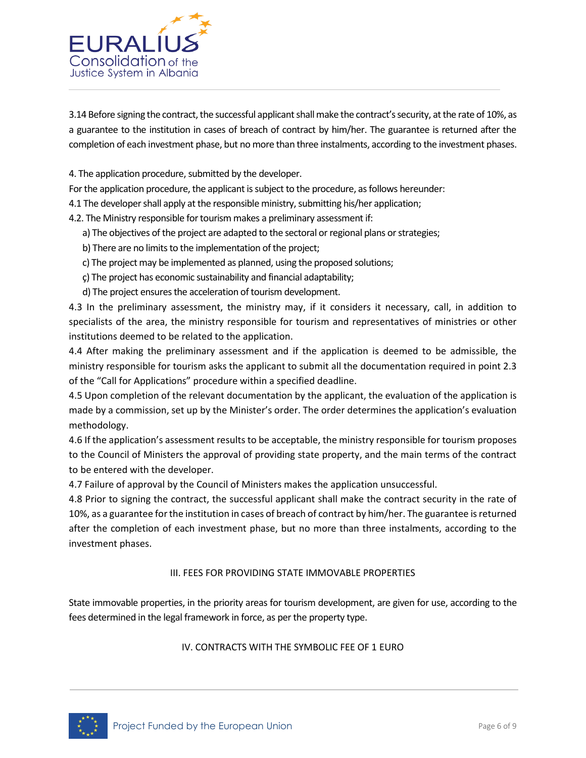

3.14 Before signing the contract, the successful applicant shall make the contract's security, at the rate of 10%, as a guarantee to the institution in cases of breach of contract by him/her. The guarantee is returned after the completion of each investment phase, but no more than three instalments, according to the investment phases.

4. The application procedure, submitted by the developer.

For the application procedure, the applicant is subject to the procedure, as follows hereunder:

4.1 The developer shall apply at the responsible ministry, submitting his/her application;

4.2. The Ministry responsible for tourism makes a preliminary assessment if:

- a) The objectives of the project are adapted to the sectoral or regional plans or strategies;
- b) There are no limits to the implementation of the project;
- c) The project may be implemented as planned, using the proposed solutions;
- ç) The project has economic sustainability and financial adaptability;
- d) The project ensures the acceleration of tourism development.

4.3 In the preliminary assessment, the ministry may, if it considers it necessary, call, in addition to specialists of the area, the ministry responsible for tourism and representatives of ministries or other institutions deemed to be related to the application.

4.4 After making the preliminary assessment and if the application is deemed to be admissible, the ministry responsible for tourism asks the applicant to submit all the documentation required in point 2.3 of the "Call for Applications" procedure within a specified deadline.

4.5 Upon completion of the relevant documentation by the applicant, the evaluation of the application is made by a commission, set up by the Minister's order. The order determines the application's evaluation methodology.

4.6 If the application's assessment results to be acceptable, the ministry responsible for tourism proposes to the Council of Ministers the approval of providing state property, and the main terms of the contract to be entered with the developer.

4.7 Failure of approval by the Council of Ministers makes the application unsuccessful.

4.8 Prior to signing the contract, the successful applicant shall make the contract security in the rate of 10%, as a guarantee for the institution in cases of breach of contract by him/her. The guarantee is returned after the completion of each investment phase, but no more than three instalments, according to the investment phases.

### III. FEES FOR PROVIDING STATE IMMOVABLE PROPERTIES

State immovable properties, in the priority areas for tourism development, are given for use, according to the fees determined in the legal framework in force, as per the property type.

### IV. CONTRACTS WITH THE SYMBOLIC FEE OF 1 EURO

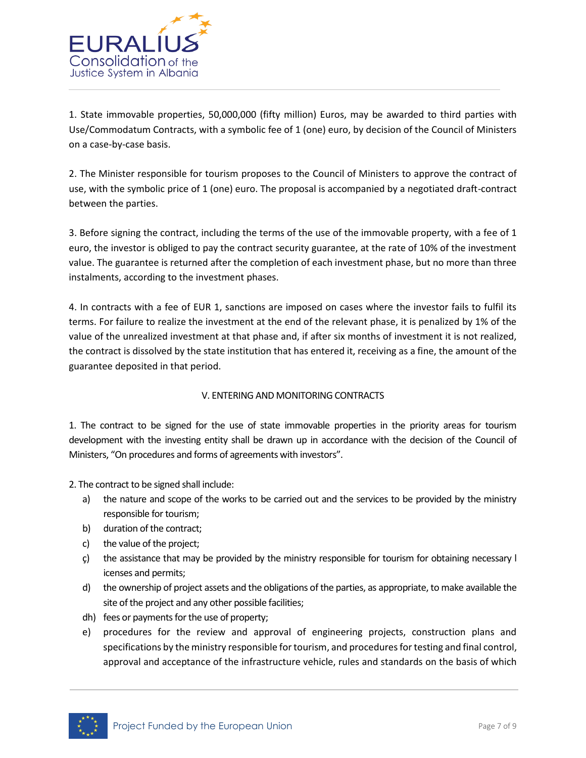

1. State immovable properties, 50,000,000 (fifty million) Euros, may be awarded to third parties with Use/Commodatum Contracts, with a symbolic fee of 1 (one) euro, by decision of the Council of Ministers on a case-by-case basis.

2. The Minister responsible for tourism proposes to the Council of Ministers to approve the contract of use, with the symbolic price of 1 (one) euro. The proposal is accompanied by a negotiated draft-contract between the parties.

3. Before signing the contract, including the terms of the use of the immovable property, with a fee of 1 euro, the investor is obliged to pay the contract security guarantee, at the rate of 10% of the investment value. The guarantee is returned after the completion of each investment phase, but no more than three instalments, according to the investment phases.

4. In contracts with a fee of EUR 1, sanctions are imposed on cases where the investor fails to fulfil its terms. For failure to realize the investment at the end of the relevant phase, it is penalized by 1% of the value of the unrealized investment at that phase and, if after six months of investment it is not realized, the contract is dissolved by the state institution that has entered it, receiving as a fine, the amount of the guarantee deposited in that period.

## V. ENTERING AND MONITORING CONTRACTS

1. The contract to be signed for the use of state immovable properties in the priority areas for tourism development with the investing entity shall be drawn up in accordance with the decision of the Council of Ministers, "On procedures and forms of agreements with investors".

2. The contract to be signed shall include:

- a) the nature and scope of the works to be carried out and the services to be provided by the ministry responsible for tourism;
- b) duration of the contract;
- c) the value of the project;
- ç) the assistance that may be provided by the ministry responsible for tourism for obtaining necessary l icenses and permits;
- d) the ownership of project assets and the obligations of the parties, as appropriate, to make available the site of the project and any other possible facilities;
- dh) fees or payments for the use of property;
- e) procedures for the review and approval of engineering projects, construction plans and specifications by the ministry responsible for tourism, and procedures for testing and final control, approval and acceptance of the infrastructure vehicle, rules and standards on the basis of which

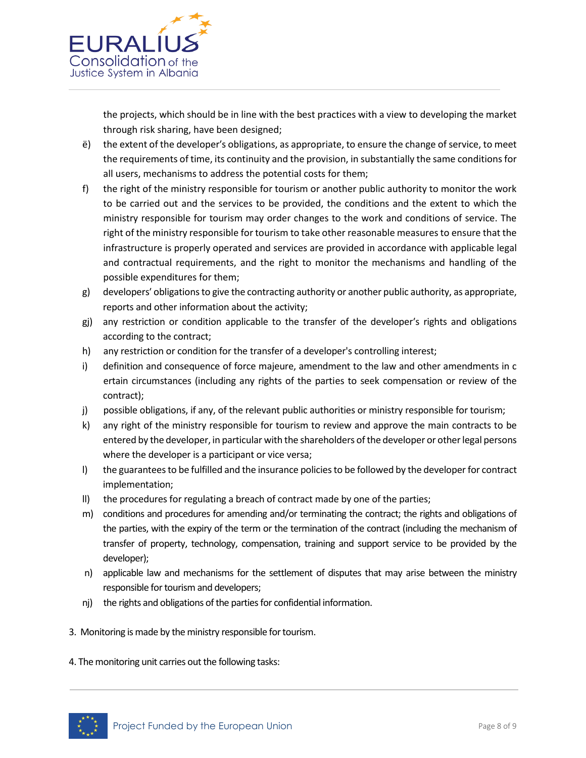

the projects, which should be in line with the best practices with a view to developing the market through risk sharing, have been designed;

- ë) the extent of the developer′s obligations, as appropriate, to ensure the change of service, to meet the requirements of time, its continuity and the provision, in substantially the same conditions for all users, mechanisms to address the potential costs for them;
- f) the right of the ministry responsible for tourism or another public authority to monitor the work to be carried out and the services to be provided, the conditions and the extent to which the ministry responsible for tourism may order changes to the work and conditions of service. The right of the ministry responsible for tourism to take other reasonable measures to ensure that the infrastructure is properly operated and services are provided in accordance with applicable legal and contractual requirements, and the right to monitor the mechanisms and handling of the possible expenditures for them;
- g) developers′ obligations to give the contracting authority or another public authority, as appropriate, reports and other information about the activity;
- gj) any restriction or condition applicable to the transfer of the developer′s rights and obligations according to the contract;
- h) any restriction or condition for the transfer of a developer's controlling interest;
- i) definition and consequence of force majeure, amendment to the law and other amendments in c ertain circumstances (including any rights of the parties to seek compensation or review of the contract);
- j) possible obligations, if any, of the relevant public authorities or ministry responsible for tourism;
- k) any right of the ministry responsible for tourism to review and approve the main contracts to be entered by the developer, in particular with the shareholders of the developer or other legal persons where the developer is a participant or vice versa;
- l) the guarantees to be fulfilled and the insurance policies to be followed by the developer for contract implementation;
- ll) the procedures for regulating a breach of contract made by one of the parties;
- m) conditions and procedures for amending and/or terminating the contract; the rights and obligations of the parties, with the expiry of the term or the termination of the contract (including the mechanism of transfer of property, technology, compensation, training and support service to be provided by the developer);
- n) applicable law and mechanisms for the settlement of disputes that may arise between the ministry responsible for tourism and developers;
- nj) the rights and obligations of the parties for confidential information.
- 3. Monitoring is made by the ministry responsible for tourism.
- 4. The monitoring unit carries out the following tasks: